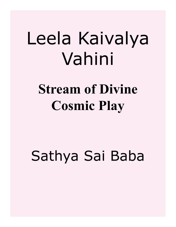# Leela Kaivalya Vahini

## **Stream of Divine Cosmic Play**

## Sathya Sai Baba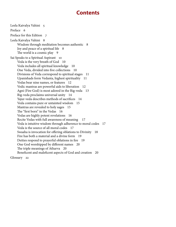## **Contents**

[Leela Kaivalya Vahini 5](#page-4-0) [Preface 6](#page-5-0) [Preface for this Edition 7](#page-6-0) [Leela Kaivalya Vahini 8](#page-7-0) [Wisdom through meditation becomes authentic 8](#page-7-0) [Joy and peace of a spiritual life 8](#page-7-0) [The world is a cosmic play 9](#page-8-0) [Sai Speaks to a Spiritual Aspirant 10](#page-9-0) [Veda is the very breath of God 10](#page-9-0) [Veda includes all spiritual knowledge 10](#page-9-0) [One Veda, divided into five collections 10](#page-9-0) [Divisions of Veda correspond to spiritual stages 11](#page-10-0) [Upanishads form Vedanta, highest spirituality 11](#page-10-0) [Vedas bear nine names, or features 12](#page-11-0) [Vedic mantras are powerful aids to liberation 12](#page-11-0) [Agni \(Fire God\) is most adored in the Rig-veda 13](#page-12-0) [Rig-veda proclaims universal unity 14](#page-13-0) [Yajur-veda describes methods of sacrifices 14](#page-13-0) [Veda contains pure or untainted wisdom 15](#page-14-0) [Mantras are revealed to holy sages 15](#page-14-0) [The "first born" in the Vedas 16](#page-15-0) [Vedas are highly potent revelations 16](#page-15-0) [Recite Vedas with full awareness of meaning 17](#page-16-0) [Veda is intuitive wisdom through adherence to moral codes 17](#page-16-0) [Veda is the source of all moral codes 17](#page-16-0) [Swaaha is invocation for offering oblations to Divinity 18](#page-17-0) [Fire has both a material and a divine form 19](#page-18-0) [Deities respond to prayerful oblations in fire 19](#page-18-0) [One God worshipped by different names 20](#page-19-0) [The triple meanings of Atharva 20](#page-19-0) [Beneficent and maleficent aspects of God and creation 20](#page-19-0) [Glossary 22](#page-21-0)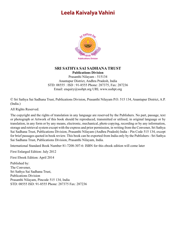## <span id="page-4-0"></span>**Leela Kaivalya Vahini**



#### **SRI SATHYA SAI SADHANA TRUST Publications Division**

Prasanthi Nilayam - 515134 Anantapur District, Andhra Pradesh, India STD: 08555 : ISD : 91-8555 Phone: 287375, Fax: 287236 Email: enquiry@sssbpt.org URL www.sssbpt.org

© Sri Sathya Sai Sadhana Trust, Publications Division, Prasanthi Nilayam P.O. 515 134, Anantapur District, A.P. (India.)

All Rights Reserved.

The copyright and the rights of translation in any language are reserved by the Publishers. No part, passage, text or photograph or Artwork of this book should be reproduced, transmitted or utilised, in original language or by translation, in any form or by any means, electronic, mechanical, photo copying, recording or by any information, storage and retrieval system except with the express and prior permission, in writing from the Convener, Sri Sathya Sai Sadhana Trust, Publications Division, Prasanthi Nilayam (Andhra Pradesh) India - Pin Code 515 134, except for brief passages quoted in book review. This book can be exported from India only by the Publishers - Sri Sathya Sai Sadhana Trust, Publications Division, Prasanthi Nilayam, India.

International Standard Book Number 81-7208-307-6: ISBN for this ebook edition will come later

First Enlarged Edition: July 2012

First Ebook Edition: April 2014

Published by: The Convener, Sri Sathya Sai Sadhana Trust, Publications Division Prasanthi Nilayam, Pincode 515 134, India STD: 08555 ISD: 91-8555 Phone: 287375 Fax: 287236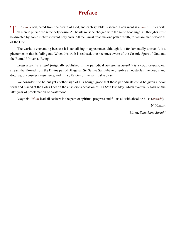## **Preface**

<span id="page-5-0"></span>The [Vedas](#page-28-0) originated from the breath of God, and each syllable is sacred. Each word is a mantra. It exhorts all men to pursue the same holy desire. All hearts must be charged with the same good urge; all thoughts must be directed by noble motives toward holy ends. All men must tread the one path of truth, for all are manifestations of the One.

The world is enchanting because it is tantalising in appearance, although it is fundamentally untrue. It is a phenomenon that is fading out. When this truth is realised, one becomes aware of the Cosmic Sport of God and the Eternal Universal Being.

*[Leela](#page-24-0) [Kaivalya](#page-24-1) Vahini* (originally published in the periodical *Sanathana Sarathi*) is a cool, crystal-clear stream that flowed from the Divine pen of Bhagavan Sri Sathya Sai Baba to dissolve all obstacles like doubts and dogmas, purposeless arguments, and flimsy fancies of the spiritual aspirant.

We consider it to be but yet another sign of His benign grace that these periodicals could be given a book form and placed at the Lotus Feet on the auspicious occasion of His 65th Birthday, which eventually falls on the 50th year of proclamation of Avatarhood.

May this *Vahini* lead all seekers in the path of spiritual progress and fill us all with absolute bliss (*[ananda](#page-21-1)*).

N. Kasturi Editor, *Sanathana Sarathi*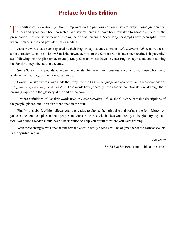## **Preface for this Edition**

<span id="page-6-0"></span>This edition of [Leela](#page-24-0) [Kaivalya](#page-24-1) Vahini improves on the previous edition in several ways. Some grammatical errors and typos have been corrected, and several sentences have been rewritten to smooth and clarify the presentation —of course, without disturbing the original meaning. Some long paragraphs have been split in two where it made sense and provided easier reading.

Sanskrit words have been replaced by their English equivalents, to make *[Leela](#page-24-0) [Kaivalya](#page-24-1) Vahini* more accessible to readers who do not know Sanskrit. However, most of the Sanskrit words have been retained (in parentheses, following their English replacements). Many Sanskrit words have no exact English equivalent, and retaining the Sanskrit keeps the edition accurate.

Some Sanskrit compounds have been hyphenated between their constituent words to aid those who like to analyze the meanings of the individual words.

Several Sanskrit words have made their way into the English language and can be found in most dictionaries —e.g. *[dharma](#page-23-0)*, *[guru](#page-24-2)*, *yoga*, and *moksha*. These words have generally been used without translation, although their meanings appear in the glossary at the end of the book.

Besides definitions of Sanskrit words used in *[Leela](#page-24-0) [Kaivalya](#page-24-1) Vahini*, the Glossary contains descriptions of the people, places, and literature mentioned in the text.

Finally, this ebook edition allows you, the reader, to choose the point size and perhaps the font. Moreover, you can click on most place names, people, and Sanskrit words, which takes you directly to the glossary explanation; your ebook reader should have a back button to help you return to where you were reading..

With these changes, we hope that the revised *[Leela](#page-24-0) [Kaivalya](#page-24-1) Vahini* will be of great benefit to earnest seekers in the spiritual realm.

Convenor

Sri Sathya Sai Books and Publications Trust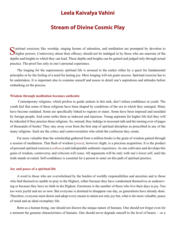### **Leela Kaivalya Vahini**

### **Stream of Divine Cosmic Play**

<span id="page-7-0"></span>Spiritual exercises like worship, singing hymns of adoration, and meditation are prompted by devotion to higher powers. Controversy about their efficacy should not be indulged in by those who are unaware of the depths and heights to which they can lead. These depths and heights can be gained and judged only through actual practice. The proof lies only in one's personal experience.

The longing for the supersensory spiritual life is aroused in the seeker either by a quest for fundamental principles or by the feeling of a need for lasting joy. Mere longing will not grant success. Spiritual exercise has to be undertaken. It is important also to examine oneself and assess in detail one's aspirations and attitudes before embarking on the process.

#### **Wisdom through meditation becomes authentic**

 Contemporary religions, which profess to guide seekers in this task, don't infuse confidence in youth. The youth feel that some of these religions have been shaped by conditions of the era in which they emerged. Many have become outdated. Some are specifically linked to regions or states. Some have been imposed and moulded by foreign people. And some strike them as indecent and injurious. Young aspirants for higher life feel they will be ridiculed if they practise these religions. So, instead, they indulge in incessant talk and the turning over of pages of thousands of books! They stay away even from the first step of spiritual discipline as prescribed in any of the many religions. Such are the critics and controversialists who relish the confusion they create.

Far more valuable than the scholarship gathered from a million books is the grain of wisdom gained through a session of meditation. That flash of wisdom (*[jnana](#page-24-3)*), however slight, is a precious acquisition. It is the product of personal spiritual exercise (*sadhana*) and indisputable authentic experience. As one cultivates and develops this grain of wisdom, controversy and criticism will cease. All arguments will be only with one's lower self, until the truth stands revealed. Self-confidence is essential for a person to enter on this path of spiritual practice.

#### **Joy and peace of a spiritual life**

A word to those who are overwhelmed by the burden of worldly responsibilites and anxieties and to those who find themselves unable to pray to the Highest, either because they have condemned themselves as undeserving or because they have no faith in the Highest. Enormous is the number of those who live their days in joy. You too were joyful and are so now. But everyone is destined to disappear one day, as generations have already done. Therefore, everyone must desire and adopt every means to attain not only joy but, what is far more valuable, peace of mind and an ideal exemplary life.

Born as a human being, one should not disown the unique nature of humans. One should not forget even for a moment the genuine characteristics of humans. One should never degrade oneself to the level of beasts —or a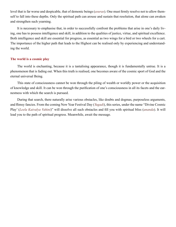<span id="page-8-0"></span>level that is far worse and despicable, that of demonic beings (*[asuras](#page-22-0)*). One must firmly resolve not to allow themself to fall into these depths. Only the spiritual path can arouse and sustain that resolution, that alone can awaken and strengthen such yearning.

It is necessary to emphasise that, in order to successfully confront the problems that arise in one's daily living, one has to possess intelligence and skill, in addition to the qualities of justice, virtue, and spiritual excellence. Both intelligence and skill are essential for progress, as essential as two wings for a bird or two wheels for a cart. The importance of the higher path that leads to the Highest can be realised only by experiencing and understanding the world.

#### **The world is a cosmic play**

The world is enchanting, because it is a tantalising appearance, though it is fundamentally untrue. It is a phenomenon that is fading out. When this truth is realised, one becomes aware of the cosmic sport of God and the eternal universal Being.

This state of consciousness cannot be won through the piling of wealth or worldly power or the acquisition of knowledge and skill. It can be won through the purification of one's consciousness in all its facets and the earnestness with which the search is pursued.

During that search, there naturally arise various obstacles, like doubts and dogmas, purposeless arguments, and flimsy fancies. From the coming New Year Festival Day (*Yugadi*), this series, under the name "Divine Cosmic Play' (*Leela Kaivalya Vahini*)" will dissolve all such obstacles and fill you with spiritual bliss (*[ananda](#page-21-1)*). It will lead you to the path of spiritual progress. Meanwhile, await the message.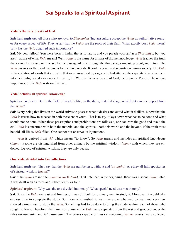## **Sai Speaks to a Spiritual Aspirant**

#### <span id="page-9-0"></span>**Veda is the very breath of God**

**Spiritual aspiran**t: All those who are loyal to *[Bharathiya](#page-22-1)* (Indian) culture accept the *[Vedas](#page-28-0)* as authoritative sources for every aspect of life. They assert that the *[Vedas](#page-28-0)* are the roots of their faith. What exactly does *[Veda](#page-28-1)* mean? Why has the *[Veda](#page-28-1)* acquired such importance?

**Sai**: My dear fellow! You were born in India, that is, Bharath, and you parade yourself as a *[Bharathiya](#page-22-1)*, but you aren't aware of what *[Veda](#page-28-1)* means! Well. *[Veda](#page-28-1)* is the name for a mass of divine knowledge. *[Veda](#page-28-1)* teaches the truth that cannot be revised or reversed by the passage of time through the three stages —past, present, and future. The *[Veda](#page-28-1)* ensures welfare and happiness for the three worlds. It confers peace and security on human society. The *[Veda](#page-28-1)* is the collation of words that are truth, that were visualised by sages who had attained the capacity to receive them into their enlightened awareness. In reality, the Word is the very breath of God, the Supreme Person. The unique importance of the *[Veda](#page-28-1)* rests on this fact.

#### **Veda includes all spiritual knowledge**

**Spiritual aspirant**: But in the field of worldly life, on the daily, material stage, what light can one expect from the *[Vedas](#page-28-0)*?

**Sai**: Every being that lives in the world strives to possess what it desires and avoid what it dislikes. Know that the *Veda* instructs how to succeed in both these endeavours. That is to say, it lays down what has to be done and what should not be done. When these prescriptions and prohibitions are followed, one can earn the good and avoid the evil. *Veda* is concerned with both the material and the spiritual, both this world and the beyond. If the truth must be told, all life is *Veda*-filled. One cannot but observe its injunctions.

*Veda* is derived from *vid*, which means "to know". So *Veda* means and includes all spiritual knowledge (*[jnana](#page-24-3)*). People are distinguished from other animals by the spiritual wisdom (*[jnana](#page-24-3)*) with which they are endowed. Devoid of spiritual wisdom, they are only beasts.

#### **One Veda, divided into five collections**

**Spiritual aspirant**: They say that the *[Vedas](#page-28-0)* are numberless, without end (*[an-antha](#page-21-2)*). Are they all full repositories of spiritual wisdom (*[jnana](#page-24-3)*)?

**Sai**: "The *[Vedas](#page-28-0)* are infinite (*anantho vai Vedaah*)." But note that, in the beginning, there was just one *Veda*. Later, it was dealt with as three and subsequently as four.

**Spiritual aspirant**: Why was the one divided into many? What special need was met thereby?

**Sai**: Since the *Veda* was vast and limitless, it was difficult for ordinary men to study it. Moreover, it would take endless time to complete the study. So, those who wished to learn were overwhelmed by fear, and very few showed earnestness to study the *Veda*. Something had to be done to bring the study within reach of those who sought to learn. Therefore, the hymns of praise in the *Veda* were separated from the rest and grouped under the titles *[Rik-samhitha](#page-26-0)* and *Yajus*-*[samhitha](#page-29-0)*. The verses capable of musical rendering (*saama* verses) were collected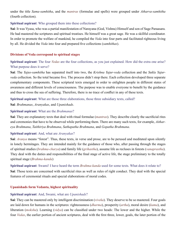<span id="page-10-0"></span>under the title *[Sama-samhitha](#page-27-0)*, and the *mantras* (formulae and spells) were grouped under *[Atharva-samhitha](#page-22-2)* (fourth collection).

#### **Spiritual aspirant**: Who grouped them into these collections?

**Sai**: It was [Vyasa](#page-28-2), who was a partial manifestation of [Narayana](#page-25-0) (God, [Vishnu\)](#page-28-3) Himself and son of Sage [Paraasara.](#page-25-1) He had mastered the scriptures and spiritual treatises. He himself was a great sage. He was a skillful coordinator. In order to promote the welfare of mankind, he compiled the *Veda* into four parts and facilitated righteous living by all. He divided the *Veda* into four and prepared five collections (*samhithas*).

#### **Divisions of Veda correspond to spiritual stages**

**Spiritual aspirant**: The four *[Vedas](#page-28-0)* are the four collections, as you just explained. How did the extra one arise? What purpose does it serve?

**Sai**: The *Yajus*-*[samhitha](#page-29-0)* has separated itself into two, the *[Krishna Yajur-veda](#page-24-4)* collection and the *[Sukla Yajur](#page-27-1)[veda](#page-27-1)* collection. So the total became five. The process didn't stop there. Each collection developed three separate complementary components. These scriptural texts emerged in order to enlighten people in different states of awareness and different levels of consciousness. The purpose was to enable everyone to benefit by the guidance and thus to cross the sea of suffering. Therefore, there is no trace of conflict in any of these texts.

**Spiritual aspirant**: What are those three elaborations, those three subsidiary texts, called?

**Sai**: *[Brahmanas](#page-22-3)*, *[Aranyakas](#page-22-4)*, and *[Upanishads](#page-28-4)*.

#### **Spiritual aspirant**: What are the *[Brahmanas](#page-22-3)*?

**Sai**: They are explanatory texts that deal with ritual formulae (*mantras*). They describe clearly the sacrificial rites and ceremonies that have to be observed while performing them. There are many such texts, for example, *[Aithar](#page-21-3)[eya Brahmana](#page-21-3)*, *[Taithiriya Brahmana](#page-27-2)*, *[Sathapatha Brahmana](#page-27-3)*, and *[Gopatha Brahmana](#page-23-1)*.

#### **Spiritual aspirant**: And, what are *[Aranyakas](#page-22-4)*?

**Sai**: *[Aranya](#page-21-4)* means "forest". Thus, these texts, in verse and prose, are to be perused and meditated upon silently in lonely hermitages. They are intended mainly for the guidance of those who, after passing through the stages of spiritual studies (*[brahma-charya](#page-22-5)*) and family life (*[grihastha](#page-23-2)*), assume life as recluses in forests (*vanaprastha*). They deal with the duties and responsibilities of the final stage of active life, the stage preliminary to the totally spiritual stage (*[Brahma-kanda](#page-22-6)*)

**Spiritual aspirant**: Swami! I have heard the term *[Brahma-kanda](#page-22-6)* used for some texts. What does it relate to?

**Sai**: Those texts are concerned with sacrificial rites as well as rules of right conduct. They deal with the special features of ceremonial rituals and special elaborations of moral codes.

#### **Upanishads form Vedanta, highest spirituality**

#### **Spiritual aspirant**: And, Swami, what are *[Upanishads](#page-28-4)*?

**Sai**: They can be mastered only by intelligent discrimination (*viveka*). They deserve to be so mastered. Four goals are laid down for humans in the scriptures: righteousness (*[dharma](#page-23-0)*), prosperity (*[artha](#page-22-7)*), moral desire (*[kama](#page-24-5)*), and liberation (*moksha*). Learning (*vidya*) can be classified under two heads: The lower and the higher. While the four *[Vedas](#page-28-0)*, the earlier portion of ancient scriptures, deal with the first three, lower, goals, the later portion of the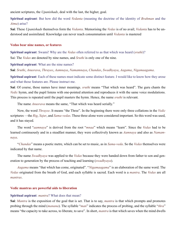<span id="page-11-0"></span>ancient scriptures, the *[Upanishads](#page-28-4)*, deal with the last, the higher, goal.

**Spiritual aspirant**: But how did the word *[Vedanta](#page-28-5)* (meaning the doctrine of the identity of *[Brahman](#page-22-8)* and the *[Atma](#page-22-9)*) arise?

**Sai**: These *[Upanishads](#page-28-4)* themselves form the *[Vedanta](#page-28-5)*. Memorising the *[Vedas](#page-28-0)* is of no avail; *[Vedanta](#page-28-5)* has to be understood and assimilated. Knowledge can never reach consummation until *[Vedanta](#page-28-5)* is mastered

#### **Vedas bear nine names, or features**

**Spiritual aspirant**: Swami! Why are the *[Vedas](#page-28-0)* often referred to as that which was heard (*sruthi*)? Sai: The *[Vedas](#page-28-0)* are denoted by nine names, and *Sruthi* is only one of the nine.

**Spiritual aspirant**: What are the nine names?

**Sai**: *Sruthi*, *[Anusrava](#page-21-5)*, *[Thrayee](#page-28-6)*, *[Aamnaya](#page-21-6)*, *[Namamnaya](#page-25-2)*, *[Chandas](#page-23-3)*, *[Swadhyaya](#page-27-4)*, *[Aagama](#page-21-7)*, *[Nigamaagama](#page-25-3)*.

**Spiritual aspirant**: Each of these names must indicate some distinct feature. I would like to know how they arose and what those features are. Please instruct me.

**Sai**: Of course, those names have inner meanings. *sruthi* means "That which was heard". The guru chants the *[Vedic](#page-28-7)* hymn, and the pupil listens with one-pointed attention and reproduces it with the same voice modulations. This process is repeated until the pupil masters the hymn. Hence, the name *sruthi* is relevant.

The name *[Anusrava](#page-21-5)* means the same, "That which was heard serially."

Now, the word *[Thrayee](#page-28-6)*. It means "the Three". In the beginning there were only three collations in the *[Vedic](#page-28-7)* scriptures —the *[Rig](#page-26-1)*, *[Yajur](#page-29-1)*, and *Sama-vedas*. These three alone were considered important. So this word was used, and it has stayed.

The word "*[aamnaya](#page-21-6)*" is derived from the root "*mnaa*" which means "learn". Since the *[Vedas](#page-28-0)* had to be learned continuously and in a steadfast manner, they were collectively known as *[Aamnaya](#page-21-6)* and also as *[Namam](#page-25-2)[naya](#page-25-2)*.

"*[Chandas](#page-23-3)*" means a poetic metre, which can be set to music, as in *[Sama-veda](#page-26-2)*. So the *[Vedas](#page-28-0)* themselves were indicated by that name.

The name *[Swadhyaya](#page-27-4)* was applied to the *[Vedas](#page-28-0)* because they were handed down from father to son and generation to generation by the process of teaching and learning (*swadhyaya*).

*[Aagama](#page-21-7)* means "that which has come, originated". "*[Nigamaagama](#page-25-3)*" is an elaboration of the same word. The *[Vedas](#page-28-0)* originated from the breath of God, and each syllable is sacred. Each word is a *mantra*. The *[Vedas](#page-28-0)* are all *mantras*.

#### **Vedic mantras are powerful aids to liberation**

#### **Spiritual aspirant**: *mantra*? What does that mean?

**Sai**: *Mantra* is the exposition of the goal that is set. That is to say, *mantra* is that which prompts and promotes probing through the mind (*[manana](#page-24-6)*). The syllable "*man*" indicates the process of probing, and the syllable "*thra*" means "the capacity to take across, to liberate, to save". In short, *mantra* is that which saves when the mind dwells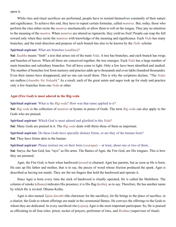<span id="page-12-0"></span>upon it.

While rites and ritual sacrifices are performed, people have to remind themselves constantly of their nature and significance. To achieve this end, they have to repeat certain formulae, called *mantras*. But, today, those who perform the rites either recite the *mantras* mechanically or allow them to roll on the tongue. They pay no attention to the meaning of the *mantra*. When *mantras* are uttered as rigmarole, they yield no fruit! People can reap the full reward only when they recite the *mantras* with knowledge of the meaning and significance. Each *[Veda](#page-28-1)* has many branches, and the total direction and purpose of each branch has also to be known by the *[Vedic](#page-28-7)* scholar.

#### **Spiritual aspirant**: What are branches (*saakhas*)?

**Sai**: *Saakha* means "limb" a text that arises out of the main *[Veda](#page-28-1)*. A tree has branches, and each branch has twigs and bunches of leaves. When all these are conceived together, the tree emerges. Each *[Veda](#page-28-1)* has a large number of main branches and subsidiary branches. Not all have come to light. Only a few have been identified and studied. The number of branches lost from memory and practice adds up to thousands and even lakhs (hundred thousands). Even their names have disappeared, and no one can recall them. This is why the scriptures declare, "The *[Vedas](#page-28-0)* are endless (*Anantho Vai Vedaah*)." As a result, each of the great saints and sages took up for study and practice only a few branches from one *[Veda](#page-28-1)* or other.

#### **Agni (Fire God) is most adored in the Rig-veda**

**Spiritual aspirant**: What is the *[Rig-veda](#page-26-1)*? How was that name applied to it?

**Sai**: *[Rig-veda](#page-26-1)* is the collection of *mantras* or hymns in praise of Gods. The term *[Rig-veda](#page-26-1)* can also apply to the Gods who are praised.

**Spiritual aspirant**: Which God is most adored and glorified in this *[Veda](#page-28-1)*?

**Sai**: Many Gods are praised in it. The *[Rig-veda](#page-26-1)* deals with thirty-three of them as important.

**Spiritual aspirant**: Do these Gods have specially distinct forms, or are they of the human form?

**Sai**: They have forms akin to the human.

**Spiritual aspirant**: Please instruct me on their form (*swarupa*) —at least, about one or two of them.

**Sai**: [Surya](#page-27-5), the Sun God, has "rays" as His arms. The flames of [Agni](#page-21-8), the Fire God, are His tongues. This is how they are pictured.

[Agni](#page-21-8), the Fire God, is born when hardwood (*[arani](#page-21-9)*) is churned. [Agni](#page-21-8) has parents, but as soon as He is born, He eats up His father and mother, that is to say, the pieces of wood whose friction produced the spark. [Agni](#page-21-8) is described as having ten maids. They are the ten fingers that hold the hardwood and operate it.

Since [Agni](#page-21-8) is born every time the stick of hardwood is ritually operated, He is called the Multiborn. The column of smoke (*[dhuma](#page-23-4)*) indicates His presence; it is His flag (*kethu*), so to say. Therefore, He has another name by which He is invited: [Dhuma Kethu.](#page-23-5)

[Agni](#page-21-8) is also named *[Yajna-Sarathi](#page-28-8)* (the charioteer for the sacrifice), for He brings to the place of sacrifice, in a chariot, the Gods to whom offerings are made in the ceremonial flames. He conveys the offerings to the Gods to whom they are dedicated. In every sacrificial rite (*yajna*), [Agni](#page-21-8) is the most important participant. So, He is praised as officiating in all four roles: priest, reciter of prayers, performer of rites, and *[Brahma](#page-22-10)* (supervisor of ritual).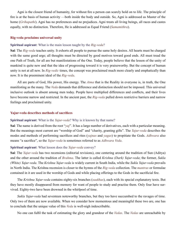<span id="page-13-0"></span>[Agni](#page-21-8) is the closest friend of humanity, for without fire a person can scarcly hold on to life. The principle of fire is at the basis of human activity —both inside the body and outside. So, [Agni](#page-21-8) is addressed as Master of the home (*[Grihapathi](#page-23-6)*). [Agni](#page-21-8) has no preferences and no prejudices. [Agni](#page-21-8) treats all living beings, all races and castes equally, with no distinction. Therefore, He is addressed as Equal Friend (*[Samamithra](#page-27-6)*).

#### **Rig-veda proclaims universal unity**

#### **Spiritual aspirant**: What is the main lesson taught by the *[Rig-veda](#page-26-1)*?

**Sai**: The *[Rig-veda](#page-26-1)* teaches unity. It exhorts all people to pursue the same holy desires. All hearts must be charged with the same good urge; all thoughts must be directed by good motives toward good ends. All must tread the one Path of Truth, for all are but manifestations of the One. Today, people believe that the lesson of the unity of mankind is quite new and that the idea of progressing toward it is very praiseworthy. But the concept of human unity is not at all new. In *Rig-vedic* times, the concept was proclaimed much more clearly and emphatically than now. It is the preeminent ideal of the *[Rig-veda](#page-26-1)*.

All are parts of God, His power, His energy. The *[Atma](#page-22-9)* that is the Reality in everyone is, in truth, the One manifesting as the many. The *[Veda](#page-28-1)* demands that difference and distinction should not be imposed. This universal inclusive outlook is absent among men today. People have multiplied differences and conflicts, and their lives have become narrow and restricted. In the ancient past, the *[Rig-veda](#page-26-1)* pulled down restrictive barriers and narrow feelings and proclaimed unity.

#### **Yajur-veda describes methods of sacrifices**

#### **Spiritual aspirant**: What is the *[Yajur-veda](#page-29-1)*? Why is it known by that name?

**Sai**: The name is derived from the root "*yaj*". It has a large number of derivatives, each with a particular meaning. But the meanings most current are "worship of God" and "charity, granting gifts". The *[Yajur-veda](#page-29-1)* describes the modes and methods of performing sacrifices and rites (*yajnas* and *yagas*) to propitiate the Gods. *[Adhwara](#page-21-10)* also means "a sacrifice", so the *[Yajur-veda](#page-29-1)* is sometimes referred to as *[Adhwara Veda](#page-21-11)*.

#### **Spiritual aspirant**: What lesson does the *[Yajur-veda](#page-29-1)* convey?

**Sai**: The *[Yajur-veda](#page-29-1)* has two recensions (editorial revisions), one centering around the tradition of Sun [\(Aditya\)](#page-21-12) and the other around the tradition of *[Brahma](#page-22-10)*. The latter is called *[Krishna \(Dark\) Yajur-veda](#page-24-4)*; the former, *[Sukla](#page-27-1) [\(White\) Yajur-veda](#page-27-1)*. The *[Krishna Yajur-veda](#page-24-4)* is widely current in South India, while the *[Sukla Yajur-veda](#page-27-1)* prevails in North India. The Krishna recension is closer to the hymns of the *[Rig-veda](#page-26-1)* collection. The *mantras* or formulae contained in it are used in the worship of Gods and while placing offerings to the Gods in the sacrificial fire.

The *[Krishna Yajur-veda](#page-24-4)* contains eighty-six branches (*saakhas*), each with its special explanatory texts. But they have mostly disappeared from memory for want of people to study and practise them. Only four have survived. Eighty-two have been drowned in the whirlpool of time.

*[Sukla Yajur-veda](#page-27-1)* had seventeen noteworthy branches, but they too have succumbed to the ravages of time. Only two of them are now available. When we consider how momentous and meaningful these two are, one has to conclude that the unique value of this *[Veda](#page-28-1)* is well-nigh indescribable.

No one can fulfil the task of estimating the glory and grandeur of the *[Vedas](#page-28-0)*. The *[Vedas](#page-28-0)* are unreachable by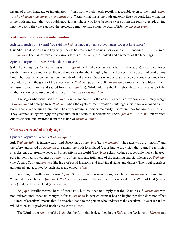<span id="page-14-0"></span>means of either language or imagination —"that from which words recoil, inaccessible even to the mind (*yatho vaacho nivarthanthe, apraapya manasaa sah*)." Know that this is the truth and exult that you could know that this is the truth and exult that you could know it thus. Those who have become aware of this are really blessed; diving into the depth, they have gained the precious gem; they have won the goal of life, the *purusha-artha*.

#### **Veda contains pure or untainted wisdom**

#### **Spiritual aspirant**: Swami! You said the *[Veda](#page-28-1)* is known by nine other names. Does it have more?

**Sai**: Ah! Can it be designated by only nine? It has many more names. For example, it is known as *Prusni*, also as *[Prathamaja](#page-26-3)*. The names reveal the various facets of the *[Veda](#page-28-1)*, the context and character of the teachings.

#### **Spiritual aspirant**: *Prusni*? What does it mean?

**Sai**: The Almighty (*[Parameswara](#page-25-4)*) is *[Prusnigarbha](#page-26-4)* (He who contains all clarity and wisdom). *Prusni* connotes purity, clarity, and sanctity. So the word indicates that the Almighty has intelligence that is devoid of taint of any kind. The *[Veda](#page-28-1)* is the concretisation in words of that wisdom. Sages who possess purified consciousness and clarified intellect win the grace of the all-pervasive *[Brahman](#page-22-8)* (Cosmic Self). *[Brahman](#page-22-8)* prompts them and blesses them to visualise the hymns and sacred formulae (*mantras*). While adoring the Almighty, they became aware of the truth, they too recognised and described *[Brahman](#page-22-8)* as *[Prusnigarbha](#page-26-4)*.

The sages who visualised the *mantras* were not bound by the consequent coils of works (*[karma](#page-24-7)*); they merge in *[Brahman](#page-22-8)* and emerge from *[Brahman](#page-22-8)* when the cycle of manifestation starts again. So, they are hailed as unborn. The *[Veda](#page-28-1)* acclaims them thus. Their very nature is immaculate purity. Therefore, they too are called *Prusni*. They yearned so agonisingly for grace that, in the state of superconsciousness (*samadhi*), *[Brahman](#page-22-8)* manifested out of self-will and awarded them the vision of *[Brahma Yajna](#page-23-7)*.

#### **Mantras are revealed to holy sages**

#### **Spiritual aspirant**: What is *[Brahma Yajna](#page-23-7)*?

**Sai**: *[Brahma Yajna](#page-23-7)* is intense study and observance of the *[Veda](#page-28-1)* (i.e. *swadhyaya*). The sages who are "unborn" and therefore authorised by *[Brahman](#page-22-8)* to transmit the truth formulated (according to the vision they earned) sacrificial rites designed to promote peace and prosperity in the world. The *[Vedas](#page-28-0)* acknowledge as sages only those who treasure in their hearts awareness of *mantras*, of the supreme truth, and of the meaning and significance of *[Brahman](#page-22-8)* (the Cosmic Self) and *[dharma](#page-23-0)* (the laws of social harmony and individual rights and duties). The ritual sacrifices authorised and accepted by such sages are called *yajnas*.

Yearning for truth is asceticism (*tapas*). Since *[Brahman](#page-22-8)* is won through asceticism, *[Brahman](#page-22-8)* is referred to as "attained by asceticism" (*thapoja*). *[Brahman](#page-22-8)*'s response to the ascetism is described as the Word of God (*[Deva](#page-23-8)[vaak](#page-23-8)*) and the Voice of God (*[Deva-vaani](#page-23-9)*).

*Thapoja* literally means "born of ascetism", but this does not imply that the Cosmic Self (*[Brahman](#page-22-8)*) was non-existent until ascetism brought It forth! *[Brahman](#page-22-8)* is ever-existent; It has no beginning; time does not affect It. "Born of ascetism" means that "It revealed Itself to the person who underwent the ascetism." It ever IS; It has willed to be so. It projected Itself as the Word (*Vaak*).

The Word is the *mantra* of the *[Veda](#page-28-1)*. So, the Almighty is described in the *[Veda](#page-28-1)* as the Designer of *Mantra* and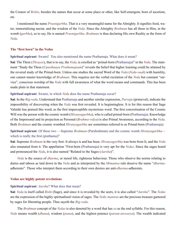<span id="page-15-0"></span>the Creator of *Rishis*, besides the names that occur at some place or other, like Self-emergent, born of ascetism, etc.

I mentioned the name *[Prusnigarbha](#page-26-4)*. That is a very meaningful name for the Almighty. It signifies food, water, immortalising nectar, and the wisdom of the *[Veda](#page-28-1)*. Since the Almighty *[Brahman](#page-22-8)* has all these in Him, in the womb (*[garbha](#page-23-10)*), so to say, He is named *[Prusnigarbha](#page-26-4)*. *[Brahman](#page-22-8)* is thus declaring His own Reality as the form of *[Veda](#page-28-1)*.

#### **The "first born" in the Vedas**

#### **Spiritual aspirant**: Swami! You also mentioned the name [Prathamaja](#page-26-3). What does it mean?

**Sai**: The Three (*[Thrayee](#page-28-6)*), that is to say, the *[Veda](#page-28-1)*, is extolled as "primal-born [\(Prathamaja](#page-26-3))" in the *[Veda](#page-28-1)*. The statement "Study the Three (*Upasthaaya Prathamajaam*)" reveals the belief that higher learning could be attained by the revered study of the Primal-born. Unless one studies the sacred Word of the *[Veda](#page-28-1)* (*[Veda-](#page-28-1)vaak*) with humility, one cannot master knowledge of *[Brahman](#page-22-8)*. This requires not the verbal recitation of the *[Veda](#page-28-1)* but constant "service", conscious worship of the *[Veda](#page-28-1)* with full awareness of what the word means and commands. This has been made plain in that statement.

#### **Spiritual aspirant**: Swami, in which *[Veda](#page-28-1)* does the name [Prathamaja](#page-26-3) occur?

**Sai**: In the *[Rig-veda](#page-26-1)*. Understand that [Prathamaja](#page-26-3) and another similar expression, *Purvaja* (primeval), indicate the impossibility of discovering when the *[Veda](#page-28-1)* was first revealed. It is beginningless. It is for this reason that Sage [Valmiki](#page-28-9) has praised this word, as the first imperceptible mysterious word. The first concretisation of the Cosmic Will was the person with the cosmic womb (*[Hiranyagarbha](#page-24-8)*), who is called primal-born [\(Prathamaja](#page-26-3)). Knowledge of the Impersonal and its projection as Personal (*[Brahma-vidya](#page-23-11)*) is also Primal Awareness, according to the *[Veda](#page-28-1)*. Both *[Brahman](#page-22-8)* and the cosmic wombed *[Hiranyagarbha](#page-24-8)* are sometimes referred to as Primal-born [\(Prathamaja](#page-26-3)).

**Spiritual aspirant**: Of these two —Supreme *[Brahman](#page-22-8)* (Parabrahman) and the cosmic womb *[Hiranyagarbha](#page-24-8)* which is really the first (prathama)?

**Sai**: Supreme *[Brahman](#page-22-8)* is the very first. It always is and has been. *[Hiranyagarbha](#page-24-8)* was born from It, and the *[Veda](#page-28-1)* also emanated from it. The appellation "First-born ([Prathamaja\)](#page-26-3) is very apt for the *[Vedas](#page-28-0)*. Since the sages heard and pronounced the *[Veda](#page-28-1)*, it is also named "Related to the Sages (*[Aarsha](#page-21-13)*)".

*[Veda](#page-28-1)* is the source of *[dharma](#page-23-0)*, or moral life, righteous behaviour. Those who observe the norms relating to duties and taboos as laid down in the *[Veda](#page-28-1)* and as interpreted by the *[Mimamsa](#page-25-5)* rule deserve the name "*[dharma](#page-23-0)*adherents". Those who interpret them according to their own desires are anti-*[dharma](#page-23-0)*-adherents.

#### **Vedas are highly potent revelations**

#### **Spiritual aspirant**: *[Aarsha](#page-21-13)*? What does that mean?

**Sai**: *[Veda](#page-28-1)* is itself called *Rishi* (Sage), and since it is revealed by the seers, it is also called "*[Aarsha](#page-21-13)*". The *[Vedas](#page-28-0)* are the expression of the highly spiritualised vision of sages. The *[Vedic](#page-28-7) mantras* are the precious treasure garnered by sages for liberating people. Thus sayeth the *[Rig-veda](#page-26-1)*.

The *[Brahman](#page-22-8)* concept of the *[Vedas](#page-28-0)* is also denoted by a word that has *sa* as the end syllable. For this reason, *[Veda](#page-28-1)* means wealth (*[dhana](#page-23-12)*), wisdom (*[jnana](#page-24-3)*), and the highest potence (*[param-aiswarya](#page-25-6)*). The wealth indicated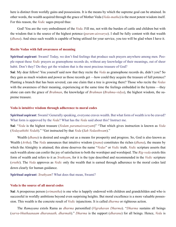<span id="page-16-0"></span>here is distinct from worldly gains and possessions. It is the means by which the supreme goal can be attained. In other words, the wealth acquired through the grace of Mother Veda (*[Veda-matha](#page-28-10)*) is the most potent wisdom itself. For this reason, the *[Vedic](#page-28-7)* sages prayed thus:

God! You are the very embodiment of the *[Veda](#page-28-1)*. Fill me, not with the burden of cattle and children but with the wisdom that is the source of the highest potence (*[param-aiswarya](#page-25-6)*). I shall be fully content with that wealth (*[dhana](#page-23-12)*). And since such wealth is capable of being utilised for your service, you too will be glad when I have it.

#### **Recite Vedas with full awareness of meaning**

**Spiritual aspirant**: Swami! Today, we don't find feelings that produce such prayers anywhere among men. People repeat these *[Vedic](#page-28-7)* prayers as gramophone records do, without any knowledge of their meanings, out of sheer habit. Don't they? Do they get the wisdom that is the most precious treasure of God?

**Sai**: My dear fellow! You yourself said now that they recite the *[Veda](#page-28-1)* as gramophone records do, didn't you? So they gain as much wisdom and power as those records get —how could they acquire the treasure of full potence? Planting a branch that has been severed, can one claim that a tree is growing there? Those who recite the *[Vedas](#page-28-0)* with the awareness of their meaning, experiencing at the same time the feelings embedded in the hymns —they alone can earn the grace of *[Brahman](#page-22-8)*, the knowledge of *[Brahman](#page-22-8)* (*[Brahma-vidya](#page-23-11)*), the highest wisdom, the supreme treasure.

#### **Veda is intuitive wisdom through adherence to moral codes**

**Spiritual aspirant**: Swami! Generally speaking, everyone craves wealth. But what form of wealth is to be craved? What form is approved by the *[Veda](#page-28-1)*? What has the *[Veda](#page-28-1)* said about this? Instruct me.

**Sai**: "*[Veda](#page-28-1)* is the highest treasure (*Vedam paramaiswaryam*)" "That which gives instruction is known as *[Veda](#page-28-1)* (*Vedayathithi Vedah*)." "Get instructed by that *[Veda](#page-28-1)* (*Sah Vedasthwam*)."

Wealth (*[dhana](#page-23-12)*) is desired and sought out as a means for prosperity and progress. So, God is also known as Wealth (*[Artha](#page-22-7)*). The *[Veda](#page-28-1)* announces that intuitive wisdom (*[jnana](#page-24-3)*) constitutes the riches (*[dhana](#page-23-12)*), the means by which the Almighty is attained; this alone deserves the name "*[Vedas](#page-28-0)*" or *[Vedic](#page-28-7)* truth. *[Vedic](#page-28-7)* scripture asserts that such wealth alone can confer the joy of satisfaction to both the worshiper and worshiped. The *[Rig-veda](#page-26-1)* extols this form of wealth and refers to it as *[Sruthyam](#page-27-7)*, for it is the type described and recommended in the *[Vedic](#page-28-7)* scripture (*sruthi*). The *[Veda](#page-28-1)* approves as *[Vedic](#page-28-7)* only the wealth that is earned through adherence to the moral codes laid down clearly for human guidance.

**Spiritual aspirant**: *[Sruthyam](#page-27-7)*? What does that mean, Swami?

#### **Veda is the source of all moral codes**

**Sai**: A prosperous person (*srimantha*) is one who is happily endowed with children and grandchilden and who is successful in worldly ambitions beyond even surprising heights. But moral excellence is a more valuable possession. This wealth is the concrete result of *[Vedic](#page-28-7)* injunctions. It is called *[dharma](#page-23-0)* or righteous action.

The *[Ramayana](#page-26-5)* extols [Rama](#page-26-6) as *[dharma](#page-23-0)* personified (*Vigrahavan Dharma*). "*[Dharma](#page-23-0)* sustains all beings (*sarva-bhuthaanaam dharanaath, dharmah*)." *[Dharma](#page-23-0)* is the support (*[dharana](#page-23-13)*) for all beings. Hence, *[Veda](#page-28-1)* is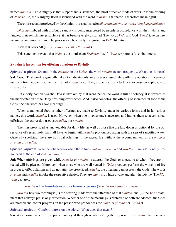<span id="page-17-0"></span>named *[dharma](#page-23-0)*. The Almighty is that support and sustenance; the most effective mode of worship is the offering of *[dharma](#page-23-0)*. So, the Almighty Itself is identified with the word *[dharma](#page-23-0)*. That name is therefore meaningful.

The entire cosmos projected by the Almighty is established on *[dharma](#page-23-0)* (*dharmo viswasya jagathah prathistaa*).

*[Dharma](#page-23-0)*, imbued with profound sanctity, is being interpreted by people in accordance with their whims and fancies, their selfish interests. Hence, it has been severely distorted. The words *[Veda](#page-28-1)* and God (*[Deva](#page-23-14)*) take on new meanings and implications. The process can be clearly recognised in *[Vedic](#page-28-7)* literature.

Itself It Knows All (*swayam sarvam vetthi-ithi Vedah*).

This statement reveals that *[Veda](#page-28-1)* is the omniscient *[Brahman](#page-22-8)* Itself. *[Vedic](#page-28-7)* scripture is Its embodiment.

#### **Swaaha is invocation for offering oblations to Divinity**

**Spiritual aspirant**: Swami! In the *mantras* in the *[Vedas](#page-28-0)*, the word *swaaha* occurs frequently. What does it mean? **Sai**: Good! That word is generally taken to indicate only an expression used while offering oblations in ceremonially-lit fire. People imagine that it is not a *[Vedic](#page-28-7)* word. They argue that it is a technical expression applicable to rituals only.

But a deity named [Swaaha Devi](#page-27-8) is invoked by that word. Since the word is full of potency, it is revered as the manifestation of the Deity presiding over speech. And it also connotes "the offering of sacramental food to the Gods." So the word has two meanings.

When sacramental food or other offerings are made to Divinity under its various forms and in Its various names, this word, *swaaha*, is used. However, when one invokes one's ancestors and invites them to accept ritual offerings, the expression used is *swadha*, not *swaaha*.

The rites prescribed as unavoidable for daily life, as well as those that are laid down as optional for the observance of certain holy days, all have to begin with *swaaha* pronounced along with the sips of sanctified water. Generally speaking, there are no ritual offerings in the sacred fire without the accompaniment of the *mantras swaaha* or *swadha*.

#### **Spiritual aspirant**: What benefit accrues when these two *mantras* —*swaaha* and *swadha*— are additionally pronounced at the end of *[Vedic](#page-28-7) mantras*?

**Sai**: When offerings are given while *swaaha* or *swadha* is uttered, the Gods or ancestors to whom they are directed will be pleased. Moreover, when those who are well versed in *[Vedic](#page-28-7)* practices perform the worship of fire in order to offer oblations and do not utter the prescribed *swaaha*, the offerings cannot reach the Gods. The words *swaaha* and *swadha* invoke the respective deities. They are *mantras*, which awake and alert the Divine. The *[Rig](#page-26-1)[veda](#page-26-1)* declares,

#### *Swaaha* is the foundation of this hymn of praise (*Swaaha sthomasya varchasaa*).

*Swaaha* has two meanings: (1) the offering made with the utterance of that *mantra*, and (2) the *[Vedic](#page-28-7)* statement that conveys praise or glorification. Whether one of the meanings is preferred or both are adopted, the Gods are pleased and confer progress on the person who pronounces the *mantras* (*swaaha* or *swadha*).

#### **Spiritual aspirant**: Confer progress on the adorer! What does that mean?

**Sai**: As a consequence of the praise conveyed through words bearing the impress of the *[Vedas](#page-28-0)*, the person is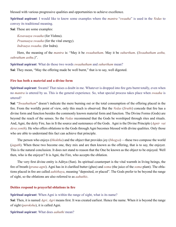<span id="page-18-0"></span>blessed with various progressive qualities and opportunities to achieve excellence.

**Spiritual aspirant**: I would like to know some examples where the *mantra* "*swaaha*" is used in the *[Vedas](#page-28-0)* to convey its traditional meaning.

**Sai**: These are some examples:

*Kesavaaya swaaha* (for [Vishnu](#page-28-3)). *Praanaaya swaaha* (for the vital energy). *Indraaya swaaha*. (for [Indra\)](#page-24-9).

Here, the meaning of the *mantra* is: "May it be *swaahutham*. May it be *suhurtham*. (*Swaahutham asthu, suhrutham asthu*.)".

**Spiritual aspirant**: What do those two words *swaahutham* and *suhurtham* mean?

**Sai**: They mean, "May the offering made be well burnt," that is to say, well digested.

#### **Fire has both a material and a divine form**

**Spiritual aspirant**: Swami! That raises a doubt in me. Whatever is dropped into fire gets burnt totally, even when no *mantra* is uttered by us. This is the general experience. So, what special process takes place when *swaaha* is uttered?

**Sai**: "*Swaahutham*" doesn't indicate the mere burning out or the total consumption of the offering placed in the fire. From the worldly point of view, only this much is observed. But the *[Vedas](#page-28-0)* (*Sruthi*) concede that fire has a divine form and function besides the commonly known material form and function. The Divine Forms (Gods) are beyond the reach of the senses. So the *[Vedas](#page-28-0)* recommend that the Gods be worshiped through rites and rituals. And, [Agni,](#page-21-8) the deity Fire, has in It the source and sustenance of the Gods. [Agni](#page-21-8) is the Divine Principle (*Agnir vai deva yonih*). He who offers oblations to the Gods through [Agni](#page-21-8) becomes blessed with divine qualities. Only those who are able to understand this fact can achieve that principle.

The person who enjoys (*[bhoktha](#page-22-11)*) and the object that provides joy (*[bhogya](#page-22-12)*) —these two compose the world (*[jagath](#page-24-10)*). When these two become one, they mix and are then known as the offering, that is to say, the enjoyer. This is the natural conclusion. It does not stand to reason that the One be known as the object to be enjoyed. Well then, who is the enjoyer? It is [Agni,](#page-21-8) the Fire, who accepts the oblation.

The very first divine entity is [Aditya](#page-21-12) (Sun). Its spiritual counterpart is the vital warmth in living beings, the fire of breath (*prana-agni*). [Agni](#page-21-8) has in it clarified butter (ghee) and *soma* (the juice of the *soma* plant). The oblations placed in fire are called *[aahithaya](#page-21-14)*, meaning "deposited, or placed". The Gods prefer to be beyond the range of sight, so the oblations are also referred to as *[aahuthis](#page-21-15)*.

#### **Deities respond to prayerful oblations in fire**

**Spiritual aspirant**: When [Agni](#page-21-8) is within the range of sight, what is its name?

**Sai**: Then, it is named *[Agri](#page-21-16)*. *[Agri](#page-21-16)* means first. It was created earliest. Hence the name. When it is beyond the range of sight (*paroksha*), it is called [Agni](#page-21-8).

#### **Spiritual aspirant**: What does *[aahuthi](#page-21-15)* mean?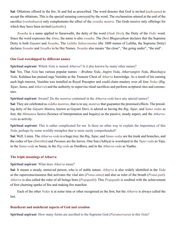<span id="page-19-0"></span>**Sai**: Oblations offered in the fire, lit and fed as prescribed. The word denotes that God is invited (*[aahvaana](#page-21-17)*) to accept the oblations. This is the special meaning conveyed by the word. The exclamation uttered at the end of the sacrifice (*vashatkaara*) only complements the effect of the *swaaha mantra*. The Gods receive only offerings for which they have been invited (*[aahuthis](#page-21-15)*).

*Swaaha* is a name applied to [Saraswathi,](#page-27-9) the deity of the word (*Vaak [Devi](#page-23-15)*), the Deity of the *[Vedic](#page-28-7)* word. Since the word expresses the *[Atma](#page-22-9)*, the name is also *swaaha*. The *[Devi Bhagavatham](#page-23-16)* declares that the Supreme Deity is both *[Gayatri](#page-23-17)* and *Swaaha*. The *[Lalitha Sahasranama](#page-24-11)* (the 1008 names of [Lalitha,](#page-24-12) the Supreme Deity) declares *Swaaha* and *Swadha* to be Her Names. *Swaaha* also means "the close", "the going under", "the end".

#### **One God worshipped by different names**

#### **Spiritual aspirant**: Which *[Veda](#page-28-1)* is named *[Atharva](#page-22-2)*? Is it also known by many other names?

**Sai**: Yes. That *[Veda](#page-28-1)* has various popular names —*Brahma Veda*, *[Angiro Veda](#page-21-18)*, *[Atharvangiro Veda](#page-22-13)*, *Bhaishajya Veda*. [Kalidasa](#page-24-13) has praised sage [Vasishta](#page-28-11) as the Treasure Chest of *[Atharva](#page-22-2)* knowledge. As a result of his earning such high renown, [Vasishta](#page-28-11) was installed as Royal Preceptor and could claim mastery over all four *[Vedas](#page-28-0)* (*[Rig](#page-26-1)*, *[Yajur](#page-29-1)*, *[Sama](#page-26-2)*, and *[Atharva](#page-22-2)*) and the authority to supervise ritual sacrifices and perform scriptural rites and ceremonies.

#### **Spiritual aspirant**: Swami! Do the *mantras* contained in the *[Atharva-veda](#page-22-2)* have any special names?

**Sai**: They are celebrated as *siddha mantras*, that is to say, *mantras* that guarantee the promised effects. The presiding deity of the *[Gayatri Mantra](#page-23-18)*, known as [Gayatri Devi,](#page-23-17) is adored as having the *[Rig](#page-26-1)*, *[Yajur](#page-29-1)*, and *[Sama vedas](#page-26-2)* as feet, the *[Mimamsa](#page-25-5) Sastra* (Science of Interpretation and Inquiry) as the passive, steady aspect, and the *[Atharva](#page-22-2)[veda](#page-22-2)* as activity.

**Spiritual aspirant**: This is rather complicated for me. Is there no other way to explain the importance of this *Veda*, perhaps by some worldly metaphor that is more easily comprehended?

**Sai**: Well. Listen. The *[Atharva-veda](#page-22-2)* is a huge tree; the *[Rig](#page-26-1)*, *[Yajur](#page-29-1)*, and *[Sama-vedas](#page-26-2)* are the trunk and branches, and the codes of law (*Smrithis*) and *[Puranas](#page-26-7)* are the leaves. One Sun ([Aditya](#page-21-12)) is worshiped in the *[Yajur-veda](#page-29-1)* as [Yaju,](#page-29-2) in the *[Sama-veda](#page-26-2)* as [Sama,](#page-26-8) in the *[Rig-veda](#page-26-1)* as [Oordhwa,](#page-25-7) and in the *[Atharva-veda](#page-22-2)* as Yaathu.

#### **The triple meanings of Atharva**

#### **Spiritual aspirant**: What does *Atharva* mean?

**Sai**: It means a steady, unmoved person, who is of stable nature. *Atharva* is also widely identified in the *[Veda](#page-28-1)* as the superconsciousness that activates the vital airs (*Prana-atma*) and also as ruler of the breath (*[Prana-pati](#page-26-9)*). *Atharva* is also called the ruler of all beings born (*[Prajapathi](#page-25-8)*). This *[Prajapathi](#page-25-8)* is credited with the achievement of first churning sparks of fire and making fire manifest.

Each of the other *[Vedas](#page-28-0)* is at some time or other recognised as the first, but the *Atharva* is always called the last.

#### **Beneficent and maleficent aspects of God and creation**

**Spiritual aspirant**: How many forms are ascribed to the Supreme God (*[Parameswara](#page-25-4)*) in this *[Veda](#page-28-1)*?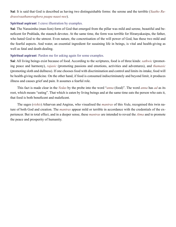**Sai**: It is said that God is described as having two distinguishable forms: the serene and the terrible (*Yaatho Rudrassivaathanoraghora paapa naasi-nee*).

#### **Spiritual aspirant**: I crave illustration by examples.

**Sai**: The [Narasimha](#page-25-9) (man-lion) form of God that emerged from the pillar was mild and serene, beautiful and beneficent for [Prahlada](#page-25-10), the staunch devotee. At the same time, the form was terrible for [Hiranyakasipu,](#page-24-14) the father, who hated God to the utmost. Even nature, the concretisation of the will power of God, has these two mild and the fearful aspects. And water, an essential ingredient for susaining life in beings, is vital and health-giving as well as fatal and death-dealing.

#### **Spiritual aspirant**: Pardon me for asking again for some examples.

**Sai**: All living beings exist because of food. According to the scriptures, food is of three kinds: *sathwic* (promoting peace and harmony), *rajasic* (promoting passions and emotions, activities and adventures), and *thamasic* (promoting sloth and dullness). If one chooses food with discrimination and control and limits its intake, food will be health-giving medicine. On the other hand, if food is consumed indiscriminately and beyond limit, it produces illness and causes grief and pain. It assumes a fearful role.

This fact is made clear in the *[Vedas](#page-28-0)* by the probe into the word "*[anna](#page-21-19)* (food)". The word *[anna](#page-21-19)* has *ad* as its root, which means "eating". That which is eaten by living beings and at the same time eats the person who eats it, that food is both beneficent and maleficent.

The sages (*rishis*) [Atharvan](#page-22-14) and Angiras, who visualised the *mantras* of this *[Veda](#page-28-1)*, recognised this twin nature of both God and creation. The *mantras* appear mild or terrible in accordance with the credentials of the experiencer. But in total effect, and in a deeper sense, these *mantras* are intended to reveal the *[Atma](#page-22-9)* and to promote the peace and prosperity of humanity.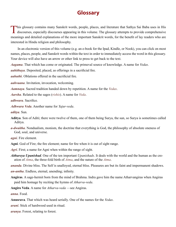## **Glossary**

<span id="page-21-0"></span>This glossary contains many Sanskrit words, people, places, and literature that Sathya Sai Baba uses in His discourses, especially discourses appearing in this volume. The glossary attempts to provide comprehensive meanings and detailed explanations of the more important Sanskrit words, for the benefit of lay readers who are interested in Hindu religion and philosophy.

In an electronic version of this volume (e.g. an e-book for the Ipad, Kindle, or Nook), you can click on most names, places, people, and Sanskrit words within the text in order to immediately access the word in this glossary. Your device will also have an arrow or other link to press to get back to the text.

<span id="page-21-7"></span>*Aagama*. That which has come or originated. The primeval source of knowledge. A name for *[Vedas](#page-28-0)*.

<span id="page-21-14"></span>*aahithaya*. Deposited, placed, as offerings in a sacrificial fire.

<span id="page-21-15"></span>*aahuthi*. Oblations offered in the sacrificial fire.

<span id="page-21-17"></span>*aahvaana*. Invitation, invocation, welcoming.

<span id="page-21-6"></span>*Aamnaya*. Sacred tradition handed down by repetition. A name for the *[Vedas](#page-28-0)*.

<span id="page-21-13"></span>*Aarsha*. Related to the sages (*rishis*). A name for *[Veda](#page-28-1)*.

<span id="page-21-10"></span>*adhwara*. Sacrifice.

<span id="page-21-11"></span>*Adhwara Veda*. Another name for *[Yajur-veda](#page-29-1)*.

*aditya*. Sun.

- <span id="page-21-12"></span>**Aditya**. Son of Aditi; there were twelve of them, one of them being [Surya](#page-27-5), the sun, so [Surya](#page-27-5) is sometimes called Aditya.
- *a-dwaitha*. Nondualism, monism, the doctrine that everything is God, the philosophy of absolute oneness of God, soul, and universe.

*agni*. Fire element.

<span id="page-21-8"></span>**Agni**. God of Fire; the fire element; name for fire when it is out of sight range.

<span id="page-21-16"></span>*Agri*. First; a name for [Agni](#page-21-8) when within the range of sight.

<span id="page-21-3"></span>*Aithareya Upanishad*. One of the ten important *[Upanishads](#page-28-4)*. It deals with the world and the human as the creation of *[Atma](#page-22-9)*, the three-fold birth of *[Atma](#page-22-9)*, and the nature of the *[Atma](#page-22-9)*.

<span id="page-21-1"></span>*ananda*. Divine bliss. The Self is unalloyed, eternal bliss. Pleasures are but its faint and impermanent shadows.

<span id="page-21-2"></span>*an-antha*. Endless, eternal, unending; infinity.

<span id="page-21-20"></span>**Angiras**. A sage-hermit born from the mind of [Brahma.](#page-22-10) [Indra](#page-24-9) gave him the name Atharvangiras when Angiras paid him homage by reciting the hymns of *[Atharva-veda](#page-22-2)*.

<span id="page-21-18"></span>**Angiro Veda**. A name for *[Atharva-veda](#page-22-2)* —see Angiras.

<span id="page-21-19"></span>*anna*. Food.

<span id="page-21-5"></span>**Anusrava**. That which was heard serially. One of the names for the *[Vedas](#page-28-0)*.

<span id="page-21-9"></span>*arani*. Stick of hardwood used in ritual.

<span id="page-21-4"></span>*aranya*. Forest, relating to forest.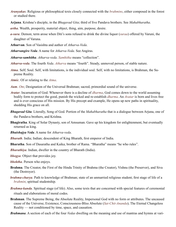<span id="page-22-4"></span>*Aranyakas*. Religious or philosophical texts closely connected with the *[brahmins](#page-23-19)*, either composed in the forest or studied there.

<span id="page-22-16"></span>**Arjuna**. [Krishna](#page-24-15)'s disciple, in the *[Bhagavad Gita](#page-22-15)*; third of five [Pandava](#page-25-11) brothers. See *[Mahabharatha](#page-24-16)*.

<span id="page-22-7"></span>*artha*. Wealth, prosperity, material object, thing, aim, purpose, desire.

- <span id="page-22-0"></span>*a-sura*. Demon; term arose when Diti's sons refused to drink the divine liquor (*suraa*) offered by Varuni, the daughter of Varuna.
- <span id="page-22-14"></span>**Atharvan**. Son of [Vasishta](#page-28-11) and author of *[Atharva-Veda](#page-22-2)*.

<span id="page-22-13"></span>*Atharvangiro Veda*. A name for *[Atharva-Veda](#page-22-2)*. See [Angiras.](#page-21-20)

*Atharva-samhitha*. *Atharva-veda*. *Samhitha* means "collection".

- <span id="page-22-2"></span>*Atharva-veda*. The fourth *[Veda](#page-28-1)*. *Atharva* means "fourth". Steady, unmoved person, of stable nature.
- <span id="page-22-9"></span>*Atma*. Self; Soul. Self, with limitations, is the individual soul. Self, with no limitations, is [Brahman,](#page-22-8) the Supreme Reality.

*Atmic*. Of or relating to the *[Atma](#page-22-9)*.

- *Aum*. *[Om](#page-25-12)*; Designation of the Universal [Brahman;](#page-22-8) sacred, primordial sound of the universe.
- <span id="page-22-17"></span>*Avatar*. Incarnation of God. Whenever there is a decline of *[dharma](#page-23-0)*, God comes down to the world assuming bodily form to protect the good, punish the wicked and re-establish *[dharma](#page-23-0)*. An *Avatar* is born and lives free and is ever conscious of His mission. By His precept and example, He opens up new paths in spirituality, shedding His grace on all.
- <span id="page-22-15"></span>*Bhagavad Gita*. Literally, Song of God. Portion of the *[Mahabharatha](#page-24-16)* that is a dialogue between [Arjuna](#page-22-16), one of the [Pandava](#page-25-11) brothers, and [Krishna.](#page-24-15)
- **Bhagiratha**. King of Solar Dynasty, son of Amsuman. Gave up his kingdom for enlightenment, but eventually returned as king.
- *Bhaishajya Veda*. A name for *[Atharva-veda](#page-22-2)*.
- *Bharath*. India; Indian; descendent of King Bharath, first emperor of India.
- <span id="page-22-18"></span>**Bharatha**. Son of [Dasaratha](#page-23-20) and [Kaika](#page-24-17); brother of [Rama](#page-26-6). "Bharatha" means "he who rules".

<span id="page-22-1"></span>*Bharathiya*. Indian, dweller in the country of Bharath (India).

<span id="page-22-12"></span>*bhogya*. Object that provides joy.

- <span id="page-22-11"></span>*bhoktha*. Person who enjoys.
- <span id="page-22-10"></span>**Brahma**. The Creator, the First of the Hindu Trinity of Brahma (the Creator), [Vishnu](#page-28-3) (the Preserver), and [Siva](#page-27-10)  (the Destroyer).
- <span id="page-22-5"></span>*brahma-charya*. Path to knowledge of [Brahman;](#page-22-8) state of an unmarried religious student; first stage of life of a *[brahmin](#page-23-19)*; spiritual studentship.
- <span id="page-22-6"></span>*Brahma-kanda*. Spiritual stage (of life). Also, some texts that are concerned with special features of ceremonial rituals and elaborations of moral codes.
- <span id="page-22-8"></span>**Brahman**. The Supreme Being, the Absolute Reality, Impersonal God with no form or attributes. The uncaused cause of the Universe, Existence, Consciousness-Bliss Absolute (*Sat-Chit-Ananda*); The Eternal Changeless Reality — not conditioned by time, space, and causation.

<span id="page-22-3"></span>*Brahmana*. A section of each of the four *[Vedas](#page-28-0)* dwelling on the meaning and use of mantras and hymns at vari-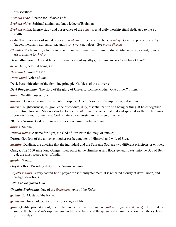ous sacrifices.

*Brahma Veda*. A name for *[Atharva-veda](#page-22-2)*.

<span id="page-23-11"></span>*Brahma-vidya*. Spiritual attainment, knowledge of [Brahman](#page-22-8).

<span id="page-23-7"></span>*Brahma-yajna*. Intense study and observance of the *[Veda](#page-28-1)*; special daily worship-ritual dedicated to the Supreme.

<span id="page-23-19"></span>**caste**. The four castes of social order are: *brahmin* (priestly or teacher), *kshatriya* (warrior, protector), *vaisya* (trader, merchant, agriculturist), and *sudra* (worker, helper). See *[varna dharma](#page-23-19)*.

<span id="page-23-3"></span>*Chandas*. Poetic metre, which can be set to music; *[Vedic](#page-28-7)* hymns; guide, shield. Also means pleasant, joyous. Also, a name for *[Vedas](#page-28-0)*.

<span id="page-23-20"></span>**Dasaratha**. Son of Aja and father of [Rama;](#page-26-6) King of Ayodhya; the name means "ten chariot hero".

<span id="page-23-14"></span>*deva*. Deity, celestial being, God.

<span id="page-23-8"></span>*Deva-vaak*. Word of God.

<span id="page-23-9"></span>*Deva-vaani*. Voice of God.

<span id="page-23-15"></span>**Devi**. Personification of the feminine principle; Goddess of the universe.

<span id="page-23-16"></span>*Devi Bhagavatham*. The story of the glory of Universal Divine Mother. One of the *[Puranas](#page-26-7)*.

<span id="page-23-12"></span>*dhana*. Wealth, possessions.

<span id="page-23-13"></span>*dharana*. Concentration, fixed attention, support. One of 8 steps in [Patanjali](#page-25-13)'s *yoga* discipline.

<span id="page-23-0"></span>*dharma*. Righteousness, religion, code of conduct, duty, essential nature of a being or thing. It holds together the entire Universe. Man is exhorted to practise *dharma* to achieve material and spiritual welfare. The *[Vedas](#page-28-0)* contain the roots of *dharma*. God is naturally interested in the reign of *dharma*.

<span id="page-23-22"></span>*Dharma Sastras*. Codes of law and ethics concerning virtuous living.

<span id="page-23-4"></span>*dhuma*. Smoke.

<span id="page-23-5"></span>*Dhuma Kethu.* A name for [Agni](#page-21-8), the God of Fire (with the 'flag' of smoke).

<span id="page-23-21"></span>**Durga**. Goddess of the universe; mother earth; daughter of Himaval and wife of [Siva](#page-27-10).

*dwaitha*. Dualism, the doctrine that the individual and the Supreme Soul are two different principles or entities.

<span id="page-23-24"></span>**Ganga**. The 1560-mile-long Ganges river; starts in the Himalayas and flows generally east into the Bay of Bengal; the most sacred river of India.

<span id="page-23-10"></span>*garbha*. Womb.

<span id="page-23-17"></span>**Gayatri Devi***.* Presiding deity of the *Gayatri mantra*.

<span id="page-23-18"></span>*Gayatri mantra*. A very sacred *[Vedic](#page-28-7)* prayer for self-enlightenment; it is repeated piously at dawn, noon, and twilight devotions.

*Gita*. See *Bhagavad Gita*.

<span id="page-23-1"></span>*Gopatha Brahmana*. One of the *[Brahmana](#page-22-3)* texts of the *[Vedas](#page-28-0)*.

<span id="page-23-6"></span>*grihapathi*. Master of the home.

<span id="page-23-2"></span>*grihastha*. Householder, one of the four stages of life.

<span id="page-23-23"></span>*guna*. Quality, property, trait; one of the three constituents of nature (*sathwa*, *rajas*, and *thamas*). They bind the soul to the body. Man's supreme goal in life is to transcend the *gunas* and attain liberation from the cycle of birth and death.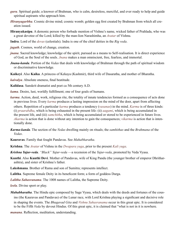- <span id="page-24-2"></span>*guru*. Spiritual guide; a knower of [Brahman,](#page-22-8) who is calm, desireless, merciful, and ever ready to help and guide spiritual aspirants who approach him.
- <span id="page-24-8"></span>*Hiranyagarbha*. Cosmic divine mind; cosmic womb; golden egg first created by [Brahman](#page-22-8) from which all creation issued.
- <span id="page-24-14"></span>**Hiranyakasipu**. A demonic person who forbade mention of [Vishnu'](#page-28-3)s name, wicked father of [Prahlada](#page-25-10), who was a great devotee of the Lord; killed by the man-lion [Narashimha](#page-25-9), an *[Avatar](#page-22-17)* of [Vishnu](#page-28-3).
- <span id="page-24-9"></span>**Indra**. Lord of the *[devas](#page-23-14)* (celestials). Indra is one of the chief deities in the *[Rig veda](#page-28-0)*.
- <span id="page-24-10"></span>*jagath*. Cosmos, world of change, creation.
- <span id="page-24-3"></span>*jnana*. Sacred knowledge; knowledge of the spirit, pursued as a means to Self-realisation. It is direct experience of God, as the Soul of the souls. *Jnana* makes a man omniscient, free, fearless, and immortal.
- <span id="page-24-20"></span>*Jnana-kanda*. Portion of the *[Vedas](#page-28-0)* that deals with knowledge of [Brahman](#page-22-8) through the path of spiritual wisdom or discriminative knowledge.
- <span id="page-24-17"></span>**Kaikeyi**. Also **Kaika**. A princess of Kekaya (Kashmir), third wife of [Dasaratha,](#page-23-20) and mother of [Bharatha.](#page-22-18)
- <span id="page-24-1"></span>*kaivalya*. Absolute oneness, final beatitude.
- <span id="page-24-13"></span>**Kalidasa**. Sanskrit dramatist and poet ca 5th century A.D.
- <span id="page-24-5"></span>*kama*. Desire, lust, worldly fulfillment; one of four goals of humans.
- <span id="page-24-7"></span>*karma*. Action, deed, work, religious rite, the totality of innate tendencies formed as a consequence of acts done in previous lives. Every *karma* produces a lasting impression on the mind of the doer, apart from affecting

others. Repetition of a particular *karma* produces a tendency (*vasanas*) in the mind. *Karma* is of three kinds: (i) *praarabdha*, which is being exhausted in the present life: (ii) *aagami*, which is being accumulated in the present life, and (iii) *samchitha*, which is being accumulated or stored to be experienced in future lives. *Akarma* is action that is done without any intention to gain the consequences; *vikarma* is action that is intentionally done.

- *Karma-kanda*. The section of the *[Vedas](#page-28-0)* dwelling mainly on rituals; the *samhithas* and the *[Brahmana](#page-22-3)* of the *[Vedas](#page-28-0)*.
- <span id="page-24-18"></span>**Kauravas**. Family that fought [Pandavas.](#page-25-11) See *[Mahabharatha](#page-24-16)*.
- <span id="page-24-15"></span>**Krishna**. The *[Avatar](#page-22-17)* of [Vishnu](#page-28-3) in the *Dwapara yuga*, prior to the present *Kali yuga*.
- <span id="page-24-4"></span>*Krishna Yajur-veda*. *"Black" Yajur-veda* —a recension of the *[Yajur-veda](#page-29-1)*, promoted by [Veda Vyasa](#page-28-2).
- **Kunthi**. Also **Kunthi Devi**. Mother of [Pandavas](#page-25-11), wife of King Pandu (the younger brother of emperor Dhritharashtra), and sister of [Krishna](#page-24-15)'s father.
- <span id="page-24-19"></span>**Lakshmana**. Brother of [Rama](#page-26-6) and son of Sumitra; represents intellect.
- <span id="page-24-12"></span>**Lalitha**. Supreme female Deity in its beneficent form; a form of goddess [Durga](#page-23-21).
- <span id="page-24-11"></span>*Lalitha Sahasranama*. The 1008 names of Lalitha, the Supreme Deity.
- <span id="page-24-0"></span>*leela*. Divine sport or play.
- <span id="page-24-16"></span>*Mahabharatha*. The Hindu epic composed by Sage [Vyasa,](#page-28-2) which deals with the deeds and fortunes of the cousins (the [Kauravas](#page-24-18) and [Pandavas\)](#page-25-11) of the Lunar race, with Lord [Krishna](#page-24-15) playing a significant and decisive role in shaping the events. The *[Bhagavad Gita](#page-22-15)* and *Vishnu Sahasranama* occur in this great epic. It is considered to be the Fifth *[Veda](#page-28-0)* by devout Hindus. Of this great epic, it is claimed that "what is not in it is nowhere.

<span id="page-24-6"></span>*manana*. Reflection, meditation, understanding.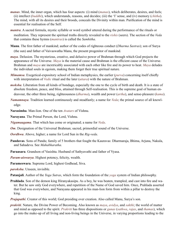- *manas*. Mind, the inner organ, which has four aspects: (i) mind (*manas*), which deliberates, desires, and feels; (ii) intellect (*buddhi*), which understands, reasons, and decides; (iii) the 'I' sense, and (iv) memory (*chitha*). The mind, with all its desires and their broods, conceals the Divinity within man. Purification of the mind is essential for realisation of the Self.
- *mantra*. A sacred formula, mystic syllable or word symbol uttered during the performance of the rituals or meditation. They represent the spiritual truths directly revealed to the *rishis* (seers). The section of the *[Veda](#page-28-0)* that contains these hymns (*mantras*) is called the *Samhitha*.
- <span id="page-25-14"></span>**Manu**. The first father of mankind; author of the codes of righteous conduct (*[Dharma Sastras](#page-23-22)*); son of [Surya](#page-27-5)  (the sun) and father of Vaivaswatha Manu, the present progenitor of mankind.
- *maya*. Delusion. The mysterious, creative, and delusive power of [Brahman](#page-22-8) through which God projects the appearance of the Universe. *Maya* is the material cause and [Brahman](#page-22-8) is the efficient cause of the Universe. [Brahman](#page-22-8) and *maya* are inextricably associated with each other like fire and its power to heat. *Maya* deludes the individual souls in egoism, making them forget their true spiritual nature.
- <span id="page-25-5"></span>*Mimamsa*. Exegetical-expository school of Indian metaphysics, the earlier (*purva*) concerning itself chiefly with interpretation of *Vedic* ritual and the later (*uttara*) with the nature of [Brahman.](#page-22-8)
- *moksha*. Liberation from all kinds of bondage, especially the one to the cycle of birth and death. It is a state of absolute freedom, peace, and bliss, attained through Self-realisation. This is the supreme goal of human endeavour, the other three being, righteousness (*[dharma](#page-23-0)*), wealth and power (*[artha](#page-22-7)*), and sense-pleasure (*[kama](#page-24-5)*).
- <span id="page-25-2"></span>*Namamnaya*. Tradition learned continuously and steadfastly; a name for *[Veda](#page-28-1)*; the primal source of all knowledge.
- <span id="page-25-9"></span>**Narasimha**. Man-lion. One of the ten *[Avatars](#page-22-17)* of [Vishnu](#page-28-3).
- <span id="page-25-0"></span>**Narayana**. The Primal Person, the Lord, [Vishnu](#page-28-3).
- <span id="page-25-3"></span>*Nigamaagama*. That which has come or originated; a name for *[Veda](#page-28-1)*.
- <span id="page-25-12"></span>*Om*. Designation of the Universal [Brahman](#page-22-8); sacred, primordial sound of the Universe.
- <span id="page-25-7"></span>*Oordhwa*. Above, higher; a name for Lord Sun in the *[Rig-veda](#page-26-1)*.
- <span id="page-25-11"></span>**Pandavas**. Sons of Pandu; family of 5 brothers that fought the [Kauravas:](#page-24-18) Dharmaraja, Bhima, [Arjuna,](#page-22-16) Nakula, and Sahadeva. See *[Mahabharatha](#page-24-16)*.
- <span id="page-25-1"></span>**Paraasara**. Grandson of [Vasishta](#page-28-11). Husband of Sathyavathi and father of [Vyasa](#page-28-2).
- <span id="page-25-6"></span>*Param-aiswarya*. Highest potency, felicity, wealth.
- <span id="page-25-4"></span>**Parameswara**. Supreme Lord, highest Godhead, [Siva.](#page-27-10)
- *paroksha*. Unseen, invisible.
- <span id="page-25-13"></span>**Patanjali**. Author of the *Yoga Sutras*, which form the foundation of the *yoga* system of Indian philosophy.
- <span id="page-25-10"></span>**Prahlada**. Son of the demon king [Hiranyakasipu.](#page-24-14) As a boy, he was beaten, trampled, and cast into fire and water. But he saw only God everywhere, and repetition of the Name of God saved him. Once, [Prahlada](#page-25-10) asserted that God was everywhere, and [Narayana](#page-25-0) appeared in his man-lion form from within a pillar to destroy the king.
- <span id="page-25-8"></span>*Prajapathi*. Creator of this world; God presiding over creation. Also called [Manu](#page-25-14), [Surya](#page-27-5)'s son.
- *prakriti*. Nature, the Divine Power of Becoming. Also known as *maya*, *avidya*, and *sakthi*; the world of matter and mind as opposed to the spirit. *Prakriti* has three dispositions or *[gunas](#page-23-23)* (*sathwa*, *rajas*, and *thamas*), which go into the make-up of all living and non-living beings in the Universe, in varying proportions leading to the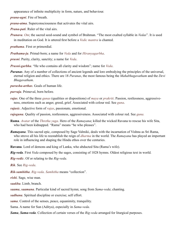appearance of infinite multiplicity in form, nature, and behaviour.

*prana-agni*. Fire of breath.

*prana-atma*. Superconsciousness that activates the vital airs.

<span id="page-26-9"></span>*Prana-pati*. Ruler of the vital airs.

*Pranava*. *Om*; the sacred seed-sound and symbol of [Brahman.](#page-22-8) "The most exalted syllable in *[Vedas](#page-28-0)*". It is used in meditation on God. It is uttered first before a *[Vedic](#page-28-7) mantra* is chanted.

*prathama*. First or primordial.

<span id="page-26-3"></span>*Prathama-ja*. Primal-born; a name for *[Veda](#page-28-1)* and for *[Hiranyagarbha](#page-24-8)*.

*prusni*. Purity, clarity, sanctity; a name for *[Veda](#page-28-1)*.

<span id="page-26-4"></span>*Prusni-garbha*. "He who contains all clarity and wisdom"; name for *[Veda](#page-28-1)*.

<span id="page-26-7"></span>*Puranas*. Any of a number of collections of ancient legends and lore embodying the principles of the universal, eternal religion and ethics. There are 18 *Puranas*, the most famous being the *Mahabhagavatham* and the *Devi Bhagavatham*.

*purusha-arthas*. Goals of human life.

*purvaja*. Primeval, born before.

*rajas*. One of the three *[gunas](#page-23-23)* (qualities or dispositions) of *maya* or *prakriti*. Passion, restlessness, aggressiveness, emotions such as anger, greed, grief. Associated with colour red. See *[guna](#page-23-23)*.

*rajasic*. Adjective form of *rajas*, passionate, emotional.

*rajoguna*. Quality of passion, restlessness, aggressiveness. Associated with colour red. See *[guna](#page-23-23).*

<span id="page-26-6"></span>**Rama**. *[Avatar](#page-22-17)* of the *Thretha yuga*. Hero of the *[Ramayana](#page-26-5)*; killed the wicked [Ravana](#page-26-10) to rescue his wife Sita, who had been kidnapped. "Rama" means "he who pleases".

<span id="page-26-5"></span>*Ramayana*. This sacred epic, composed by Sage [Valmiki,](#page-28-9) deals with the incarnation of [Vishnu](#page-28-3) as Sri [Rama](#page-26-6), who strove all his life to reestablish the reign of *[dharma](#page-23-0)* in the world. The *Ramayana* has played an important role in influencing and shaping the Hindu ethos over the centuries.

<span id="page-26-10"></span>**Ravana**. Lord of demons and king of Lanka, who abducted Sita [\(Rama](#page-26-6)'s wife).

<span id="page-26-1"></span>*Rig-veda*. First *[Veda](#page-28-0)* composed by the sages, consisting of 1028 hymns. Oldest religious text in world.

*Rig-vedic*. Of or relating to the *[Rig-veda](#page-26-1)*.

*Rik*. See *Rig-veda*.

<span id="page-26-0"></span>*Rik-samhitha*. *Rig-veda*. *Samhitha* means "collection".

*rishi*. Sage, wise man.

*saakha*. Limb, branch.

*saama*, *saamana*. Particular kind of sacred hymn; song from *Sama-veda*; chanting.

*sadhana*. Spiritual discipline or exercise; self effort.

*sama*. Control of the senses, peace, equanimity, tranquility.

<span id="page-26-8"></span>Sama. A name for Sun ([Aditya](#page-21-12)), especially in *Sama-veda*.

<span id="page-26-2"></span>*Sama*, *Sama-veda*. Collection of certain verses of the *[Rig-veda](#page-26-1)* arranged for liturgical purposes.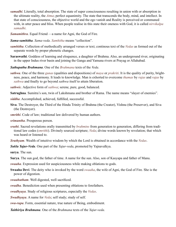- *samadhi*. Literally, total absorption. The state of super consciousness resulting in union with or absorption in the ultimate reality, the *[Atma](#page-22-9)*; perfect equanimity. The state that transcends the body, mind, and intellect. In that state of consciousness, the objective world and the ego vanish and Reality is perceived or communed with, in utter peace and bliss. When people realise in this state their oneness with God, it is called *nirvikalpa samadhi*.
- <span id="page-27-6"></span>*Samamithra*. Equal Friend —a name for [Agni](#page-21-8), the God of Fire.
- <span id="page-27-0"></span>*Sama-samhitha*. *Sama-veda*. *Samhitha* means "collection".
- *samhitha*. Collection of methodically arranged verses or text; continous text of the *[Vedas](#page-28-0)* as formed out of the separate words by proper phonetic changes.
- <span id="page-27-9"></span>**Saraswathi**. Goddess of learning and eloquence, a daughter of [Brahma](#page-22-10). Also, an underground river, originating in the upper Indus river basin and joining the [Ganga](#page-23-24) and [Yamuna](#page-29-3) rivers at Prayag or Allahabad.
- <span id="page-27-3"></span>*Sathapatha Brahmana*. One of the *[Brahmana](#page-22-3)* texts of the *[Veda](#page-28-1)*.
- *sathwa*. One of the three *[gunas](#page-23-23)* (qualities and dispositions) of *maya* or *prakriti*. It is the quality of purity, brightness, peace, and harmony. It leads to knowledge. Man is exhorted to overcome *thamas* by *rajas* and *rajas* by *sathwa* and finally to go beyond *sathwa* itself to attain liberation.
- *sathwic*. Adjective form of *sathwa*; serene, pure, good, balanced.
- **Satrughna**. Sumitra's son, twin of [Lakshmana](#page-24-19) and brother of [Rama](#page-26-6). The name means "slayer of enemies".
- *siddha*. Accomplished, achieved, fulfilled, successful.
- <span id="page-27-10"></span>**Siva**. The Destroyer, the Third of the Hindu Trinity of [Brahma](#page-22-10) (the Creator), [Vishnu](#page-28-3) (the Preserver), and Siva (the Destroyer).
- *smrithi*. Code of law; traditional law delivered by human authors.
- *srimantha*. Prosperous person.
- *sruthi*. Sacred revelations orally transmitted by *[brahmins](#page-23-19)* from generation to generation, differing from traditional law codes (*smrithi*). Divinely sourced scripture; *[Veda](#page-28-1)*; divine words known by revelation; that which was heard or listened to.
- <span id="page-27-7"></span>*Sruthyam*. Wealth of intuitive wisdom by which the Lord is obtained in accordance with the *[Vedas](#page-28-0)*.
- <span id="page-27-1"></span>*Sukla Yajur-Veda*. One part of the *[Yajur-veda](#page-29-1)*, promoted by Yajnavalkya.
- **surya**. The sun.
- <span id="page-27-5"></span>**Surya**. The sun god, the father of time. A name for the sun. Also, son of Kasyapa and father of [Manu.](#page-25-14)
- *swaaha*. Expression used for auspiciousness while making oblations to gods.
- <span id="page-27-8"></span>**Swaaha Devi**. The deity who is invoked by the word *swaaha*, the wife of [Agni](#page-21-8), the God of Fire. She is the power of digestion.
- *swaahutham*. Well digested, well sacrificed.
- *swadha*. Benediction used when presenting oblations to forefathers.
- *swadhyaya*. Study of religious scriptures, especially the *[Vedas](#page-28-0)*.
- <span id="page-27-4"></span>*Swadhyaya*. A name for *[Veda](#page-28-1)*; self study; study of self.
- *swa-rupa*. Form, essential nature, true nature of Being, embodiment.
- <span id="page-27-2"></span>*Taithiriya Brahmana*. One of the *[Brahmana](#page-22-3)* texts of the *[Yajur-veda](#page-29-1)*.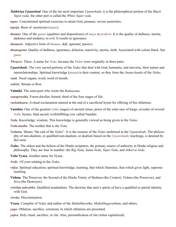- *Taithiriya Upanishad*. One of the ten most important *[Upanishads](#page-28-4)*; it is the philosophical portion of the *Black Yajur-veda*; the other part is called the *White Yajur-veda*.
- *tapas*. Concentrated spiritual exercises to attain God, penance, severe austerities.
- *tapoja*. Born of asceticism (*tapas*).
- *thamas*. One of the *[gunas](#page-23-23)* (qualities and dispositions) of *maya* or *prakriti*. It is the quality of dullness, inertia, darkness and tendency to evil. It results in ignorance.
- *thamasic*. Adjective form of *thamas*, dull, ignorant, passive.
- *thamoguna*. Quality of dullness, ignorance, delusion, inactivity, inertia, sloth. Associated with colour black. See *[guna](#page-23-23)*.
- <span id="page-28-6"></span>*Thrayee*. Three. A name for *Veda*, because the *[Vedas](#page-28-0)* were originally in three parts.
- <span id="page-28-4"></span>*Upanishads*. The very sacred portions of the *[Vedas](#page-28-0)* that deal with God, humanity, and universe, their nature and interrelationships. Spiritual knowledge (*[jnana](#page-24-3)*) is their content, so they form the *[Jnana-kanda](#page-24-20)* of the *[Vedas](#page-28-0)*.
- *vaak*. Vocal organs, word, word of mouth.
- *vahini*. Stream or flow.
- <span id="page-28-9"></span>**Valmiki**. The saint-poet who wrote the *[Ramayana](#page-26-5)*.
- *vanaprastha*. Forest-dweller, hermit; third of the four stages of life.
- *vashatkaara*. A ritual exclamation uttered at the end of a sacrificial hymn for offering of fire oblations.
- <span id="page-28-11"></span>**Vasishta**. One of the greatest *rishis* (sages) of ancient times; priest of the solar race of kings; revealer of several *[Vedic](#page-28-7)* hymns. Had sacred, wishfulfilling cow called Nandini.
- <span id="page-28-1"></span>*Veda*. Knowledge, wisdom. This knowledge is generally viewed as being given in the *Vedas*.
- <span id="page-28-10"></span>*Veda-matha*. The mother that is the *[Veda](#page-28-1)*.
- <span id="page-28-5"></span>*Vedanta*. Means "the end of the *Vedas*". It is the essence of the *Vedas* enshrined in the *[Upanishads](#page-28-4)*. The philosophy of non-dualism, or qualified non-dualism, or dualism based on the *[Upanishadic](#page-28-4)* teachings, is denoted by this term.
- <span id="page-28-0"></span>*Vedas*. The oldest and the holiest of the Hindu scriptures, the primary source of authority in Hindu religion and philosophy. They are four in number: the *[Rig-Veda](#page-26-1)*, *Sama-Veda*, *Yajur-Veda*, and *Atharva-Veda*.
- **Veda Vyasa**. Another name for [Vyasa.](#page-28-2)
- <span id="page-28-7"></span>*Vedic*. Of your relating to the *Vedas*.
- *vidya*. Spiritual education, spiritual knowledge, learning, that which illumines, that which gives light, supreme teaching.
- <span id="page-28-3"></span>**Vishnu**. The Preserver, the Second of the Hindu Trinity of [Brahma](#page-22-10) (the Creator), Vishnu (the Preserver), and [Siva](#page-27-10) (the Destroyer).
- *visishta-adwaitha*. Qualified nondualism. The doctrine that men's spirits of have a qualified or partial identity with God.
- *viveka*. Discrimination.
- <span id="page-28-2"></span>**Vyasa**. Compiler of *[Vedas](#page-28-0)* and author of the *[Mahabharatha](#page-24-16)*, *Mahabhagavatham*, and others.
- *yaga*. Oblation, sacrifice, ceremony in which oblations are presented.
- <span id="page-28-8"></span>*yajna*. Holy ritual, sacrifice, or rite. Also, personification of rite (when capitalized).